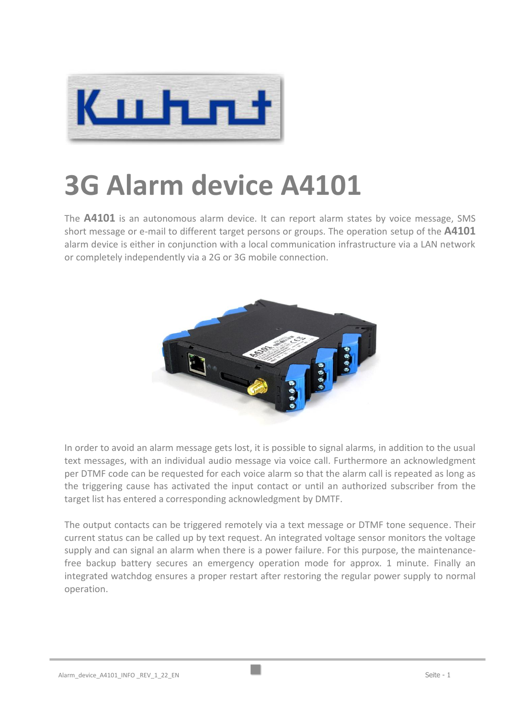

## **3G Alarm device A4101**

The **A4101** is an autonomous alarm device. It can report alarm states by voice message, SMS short message or e-mail to different target persons or groups. The operation setup of the **A4101** alarm device is either in conjunction with a local communication infrastructure via a LAN network or completely independently via a 2G or 3G mobile connection.



In order to avoid an alarm message gets lost, it is possible to signal alarms, in addition to the usual text messages, with an individual audio message via voice call. Furthermore an acknowledgment per DTMF code can be requested for each voice alarm so that the alarm call is repeated as long as the triggering cause has activated the input contact or until an authorized subscriber from the target list has entered a corresponding acknowledgment by DMTF.

The output contacts can be triggered remotely via a text message or DTMF tone sequence. Their current status can be called up by text request. An integrated voltage sensor monitors the voltage supply and can signal an alarm when there is a power failure. For this purpose, the maintenancefree backup battery secures an emergency operation mode for approx. 1 minute. Finally an integrated watchdog ensures a proper restart after restoring the regular power supply to normal operation.